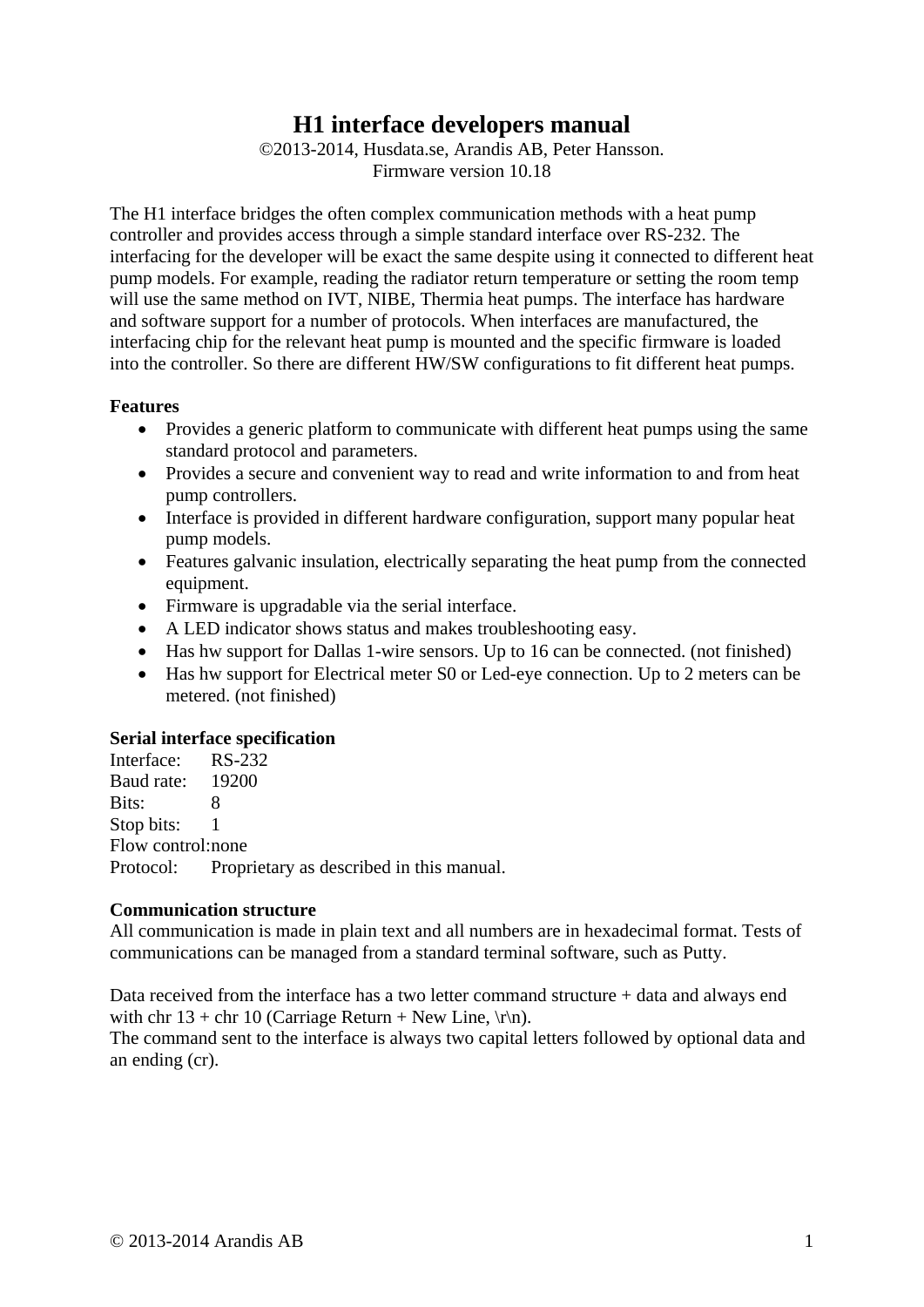# **H1 interface developers manual**

©2013-2014, Husdata.se, Arandis AB, Peter Hansson. Firmware version 10.18

The H1 interface bridges the often complex communication methods with a heat pump controller and provides access through a simple standard interface over RS-232. The interfacing for the developer will be exact the same despite using it connected to different heat pump models. For example, reading the radiator return temperature or setting the room temp will use the same method on IVT, NIBE, Thermia heat pumps. The interface has hardware and software support for a number of protocols. When interfaces are manufactured, the interfacing chip for the relevant heat pump is mounted and the specific firmware is loaded into the controller. So there are different HW/SW configurations to fit different heat pumps.

### **Features**

- Provides a generic platform to communicate with different heat pumps using the same standard protocol and parameters.
- Provides a secure and convenient way to read and write information to and from heat pump controllers.
- Interface is provided in different hardware configuration, support many popular heat pump models.
- Features galvanic insulation, electrically separating the heat pump from the connected equipment.
- Firmware is upgradable via the serial interface.
- A LED indicator shows status and makes troubleshooting easy.
- Has hw support for Dallas 1-wire sensors. Up to 16 can be connected. (not finished)
- Has hw support for Electrical meter S0 or Led-eye connection. Up to 2 meters can be metered. (not finished)

#### **Serial interface specification**

Interface: RS-232 Baud rate: 19200 Bits: 8 Stop bits: 1 Flow control: none Protocol: Proprietary as described in this manual.

#### **Communication structure**

All communication is made in plain text and all numbers are in hexadecimal format. Tests of communications can be managed from a standard terminal software, such as Putty.

Data received from the interface has a two letter command structure + data and always end with chr 13 + chr 10 (Carriage Return + New Line,  $\langle r \rangle$ n).

The command sent to the interface is always two capital letters followed by optional data and an ending (cr).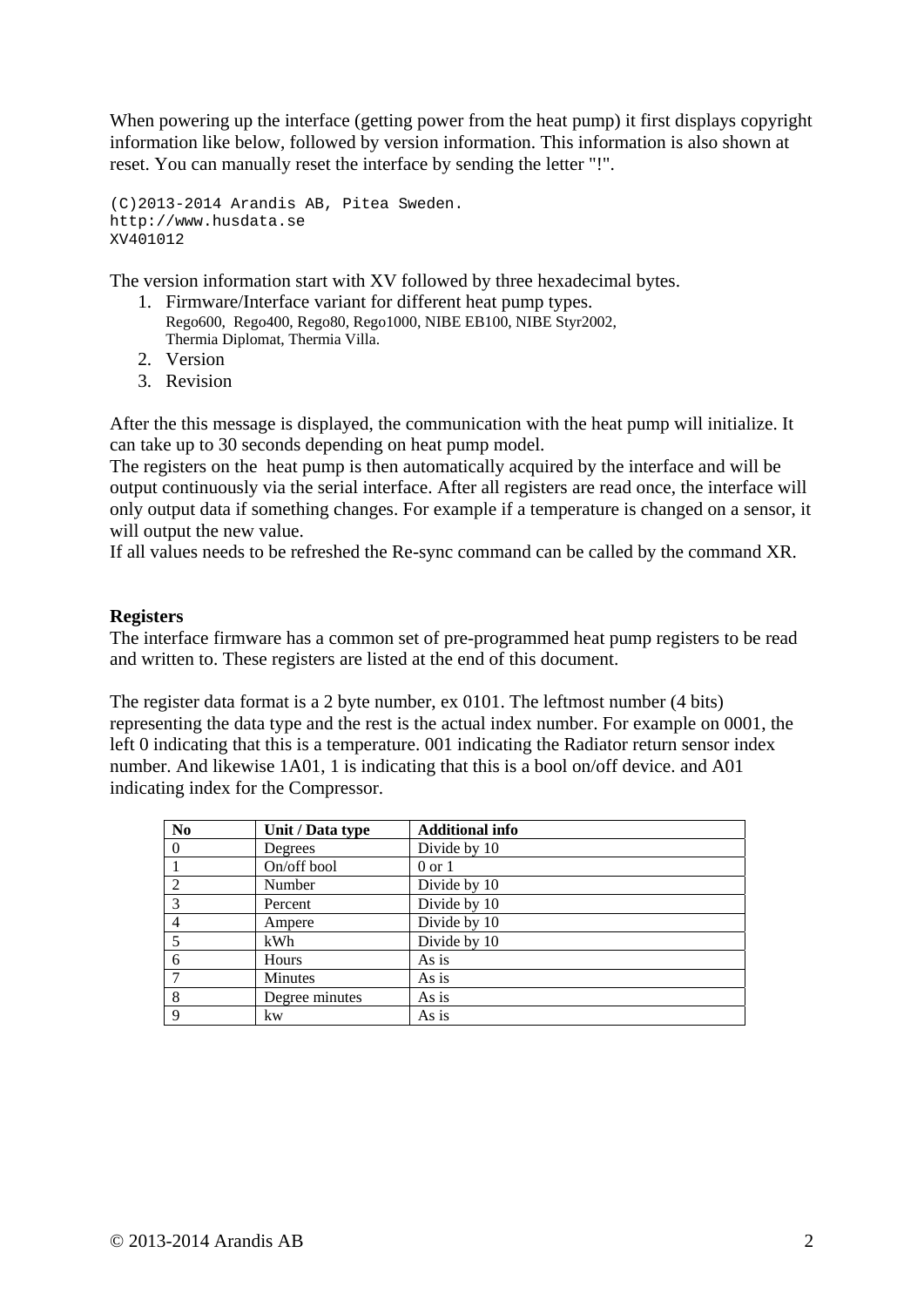When powering up the interface (getting power from the heat pump) it first displays copyright information like below, followed by version information. This information is also shown at reset. You can manually reset the interface by sending the letter "!".

(C)2013-2014 Arandis AB, Pitea Sweden. http://www.husdata.se XV401012

The version information start with XV followed by three hexadecimal bytes.

- 1. Firmware/Interface variant for different heat pump types. Rego600, Rego400, Rego80, Rego1000, NIBE EB100, NIBE Styr2002, Thermia Diplomat, Thermia Villa.
- 2. Version
- 3. Revision

After the this message is displayed, the communication with the heat pump will initialize. It can take up to 30 seconds depending on heat pump model.

The registers on the heat pump is then automatically acquired by the interface and will be output continuously via the serial interface. After all registers are read once, the interface will only output data if something changes. For example if a temperature is changed on a sensor, it will output the new value.

If all values needs to be refreshed the Re-sync command can be called by the command XR.

### **Registers**

The interface firmware has a common set of pre-programmed heat pump registers to be read and written to. These registers are listed at the end of this document.

The register data format is a 2 byte number, ex 0101. The leftmost number (4 bits) representing the data type and the rest is the actual index number. For example on 0001, the left 0 indicating that this is a temperature. 001 indicating the Radiator return sensor index number. And likewise 1A01, 1 is indicating that this is a bool on/off device. and A01 indicating index for the Compressor.

| N <sub>0</sub> | Unit / Data type | <b>Additional info</b> |
|----------------|------------------|------------------------|
| 0              | Degrees          | Divide by 10           |
|                | On/off bool      | $0 \text{ or } 1$      |
| $\overline{2}$ | Number           | Divide by 10           |
| 3              | Percent          | Divide by 10           |
| 4              | Ampere           | Divide by 10           |
| 5              | kWh              | Divide by 10           |
| 6              | Hours            | As is                  |
|                | Minutes          | As is                  |
| 8              | Degree minutes   | As is                  |
| 9              | kw               | As is                  |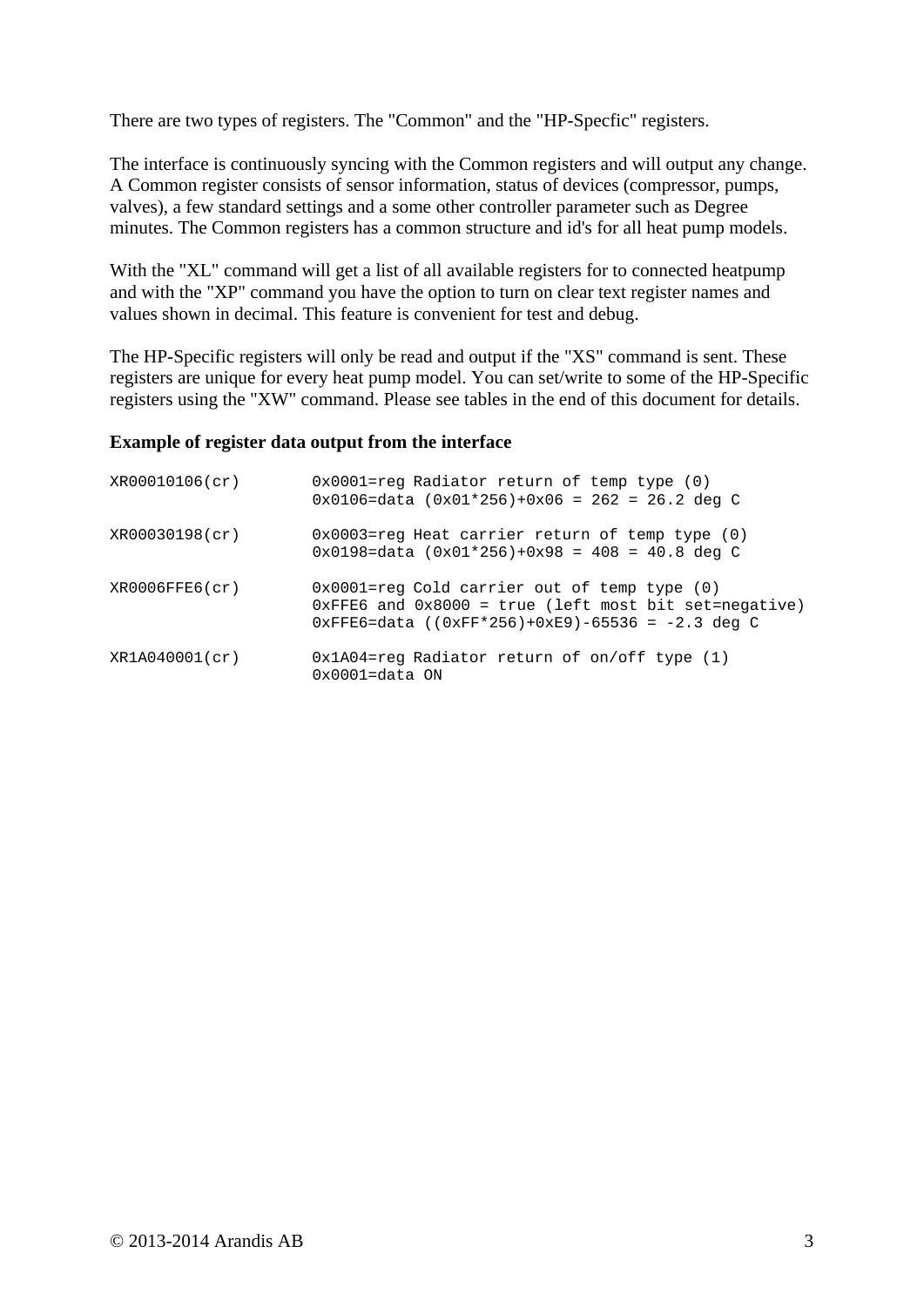There are two types of registers. The "Common" and the "HP-Specfic" registers.

The interface is continuously syncing with the Common registers and will output any change. A Common register consists of sensor information, status of devices (compressor, pumps, valves), a few standard settings and a some other controller parameter such as Degree minutes. The Common registers has a common structure and id's for all heat pump models.

With the "XL" command will get a list of all available registers for to connected heatpump and with the "XP" command you have the option to turn on clear text register names and values shown in decimal. This feature is convenient for test and debug.

The HP-Specific registers will only be read and output if the "XS" command is sent. These registers are unique for every heat pump model. You can set/write to some of the HP-Specific registers using the "XW" command. Please see tables in the end of this document for details.

#### **Example of register data output from the interface**

| XR00010106(cr) | 0x0001=reg Radiator return of temp type (0)<br>$0x0106 = data$ $(0x01*256)+0x06 = 262 = 26.2$ deg C                                                                      |
|----------------|--------------------------------------------------------------------------------------------------------------------------------------------------------------------------|
| XR00030198(cr) | $0x0003$ =req Heat carrier return of temp type $(0)$<br>$0x0198 = data (0x01*256)+0x98 = 408 = 40.8 deg C$                                                               |
| XR0006FFE6(cr) | $0x0001 =$ reg Cold carrier out of temp type $(0)$<br>$0x$ FFE6 and $0x8000$ = true (left most bit set=negative)<br>$0xFFE6 = data$ ((0xFF*256)+0xE9)-65536 = -2.3 deg C |
| XR1A040001(cr) | $0x1A04 =$ req Radiator return of on/off type $(1)$<br>$0x0001 = data$ ON                                                                                                |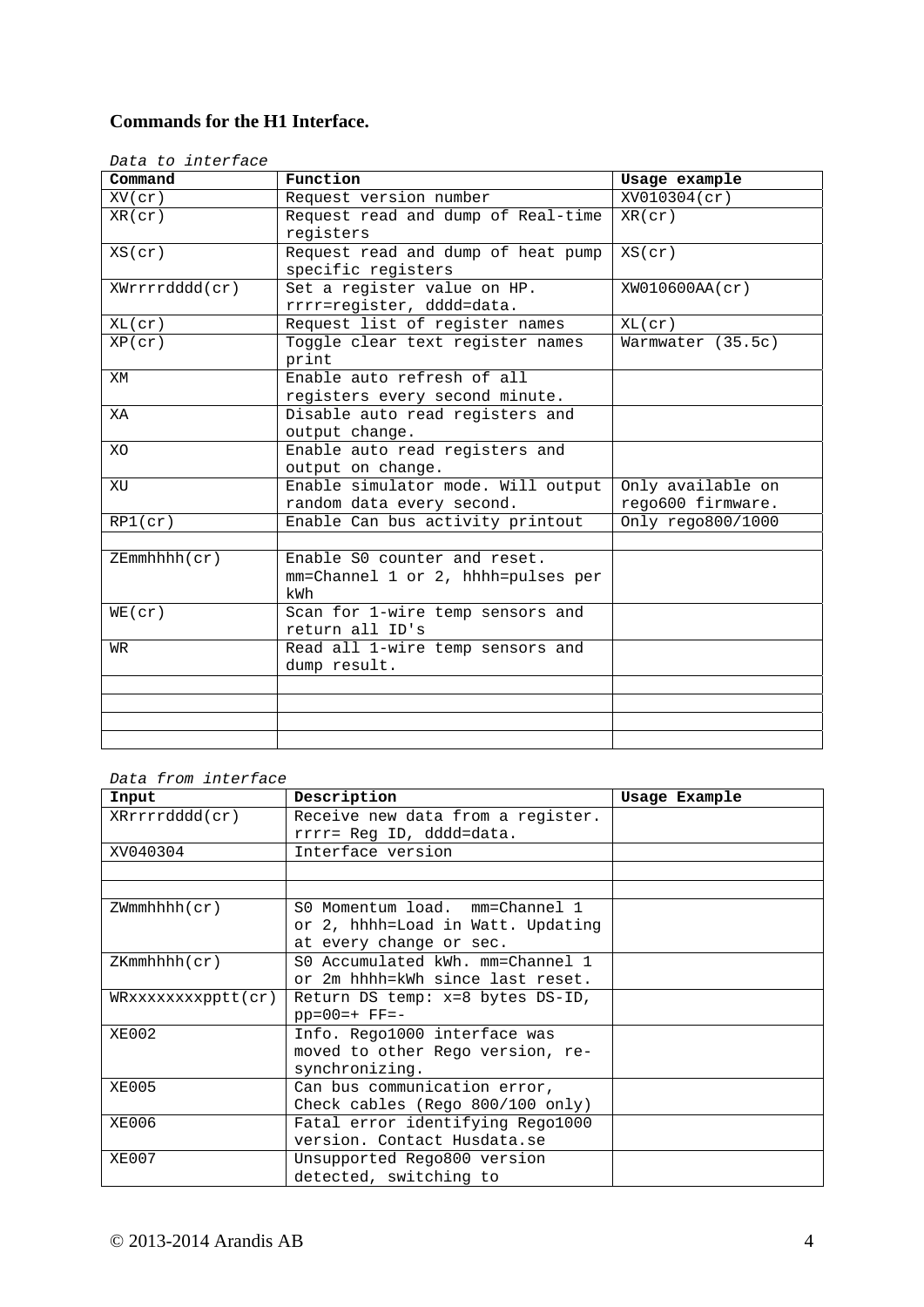## **Commands for the H1 Interface.**

| Data to interface |                                    |                   |
|-------------------|------------------------------------|-------------------|
| Command           | Function                           | Usage example     |
| $XV$ (cr)         | Request version number             | XV010304(cr)      |
| XR(cr)            | Request read and dump of Real-time | XR(cr)            |
|                   | registers                          |                   |
| XS(cr)            | Request read and dump of heat pump | XS(cr)            |
|                   | specific registers                 |                   |
| XWrrrrdddd(cr)    | Set a register value on HP.        | XW010600AA(cr)    |
|                   | rrrr=register, dddd=data.          |                   |
| XL(cr)            | Request list of register names     | XL(cr)            |
| XP(cr)            | Toggle clear text register names   | Warmwater (35.5c) |
|                   | print                              |                   |
| XM                | Enable auto refresh of all         |                   |
|                   | registers every second minute.     |                   |
| XA                | Disable auto read registers and    |                   |
|                   | output change.                     |                   |
| XO                | Enable auto read registers and     |                   |
|                   | output on change.                  |                   |
| XU                | Enable simulator mode. Will output | Only available on |
|                   | random data every second.          | rego600 firmware. |
| RPI(cr)           | Enable Can bus activity printout   | Only rego800/1000 |
|                   |                                    |                   |
| ZEmmhhh(cr)       | Enable S0 counter and reset.       |                   |
|                   | mm=Channel 1 or 2, hhhh=pulses per |                   |
|                   | kWh                                |                   |
| WE(cr)            | Scan for 1-wire temp sensors and   |                   |
|                   | return all ID's                    |                   |
| WR                | Read all 1-wire temp sensors and   |                   |
|                   | dump result.                       |                   |
|                   |                                    |                   |
|                   |                                    |                   |
|                   |                                    |                   |
|                   |                                    |                   |

*Data from interface* 

| Input                                     | Description                       | Usage Example |
|-------------------------------------------|-----------------------------------|---------------|
| XRrrrrdddd(cr)                            | Receive new data from a register. |               |
|                                           | rrrr= Req ID, dddd=data.          |               |
| XV040304                                  | Interface version                 |               |
|                                           |                                   |               |
|                                           |                                   |               |
| $ZWmmhhh$ ( $cr$ )                        | S0 Momentum load. mm=Channel 1    |               |
|                                           | or 2, hhhh=Load in Watt. Updating |               |
|                                           | at every change or sec.           |               |
| $ZKmmhhhh$ ( $cr$ )                       | S0 Accumulated kWh. mm=Channel 1  |               |
|                                           | or 2m hhhh=kWh since last reset.  |               |
| WRxxxxxxx                                 | Return DS temp: x=8 bytes DS-ID,  |               |
|                                           | $pp=00=+$ $FF=-$                  |               |
| XE002                                     | Info. Rego1000 interface was      |               |
|                                           | moved to other Rego version, re-  |               |
|                                           | synchronizing.                    |               |
| XE005                                     | Can bus communication error,      |               |
|                                           | Check cables (Rego 800/100 only)  |               |
| XE006<br>Fatal error identifying Rego1000 |                                   |               |
|                                           | version. Contact Husdata.se       |               |
| XE007                                     | Unsupported Rego800 version       |               |
|                                           | detected, switching to            |               |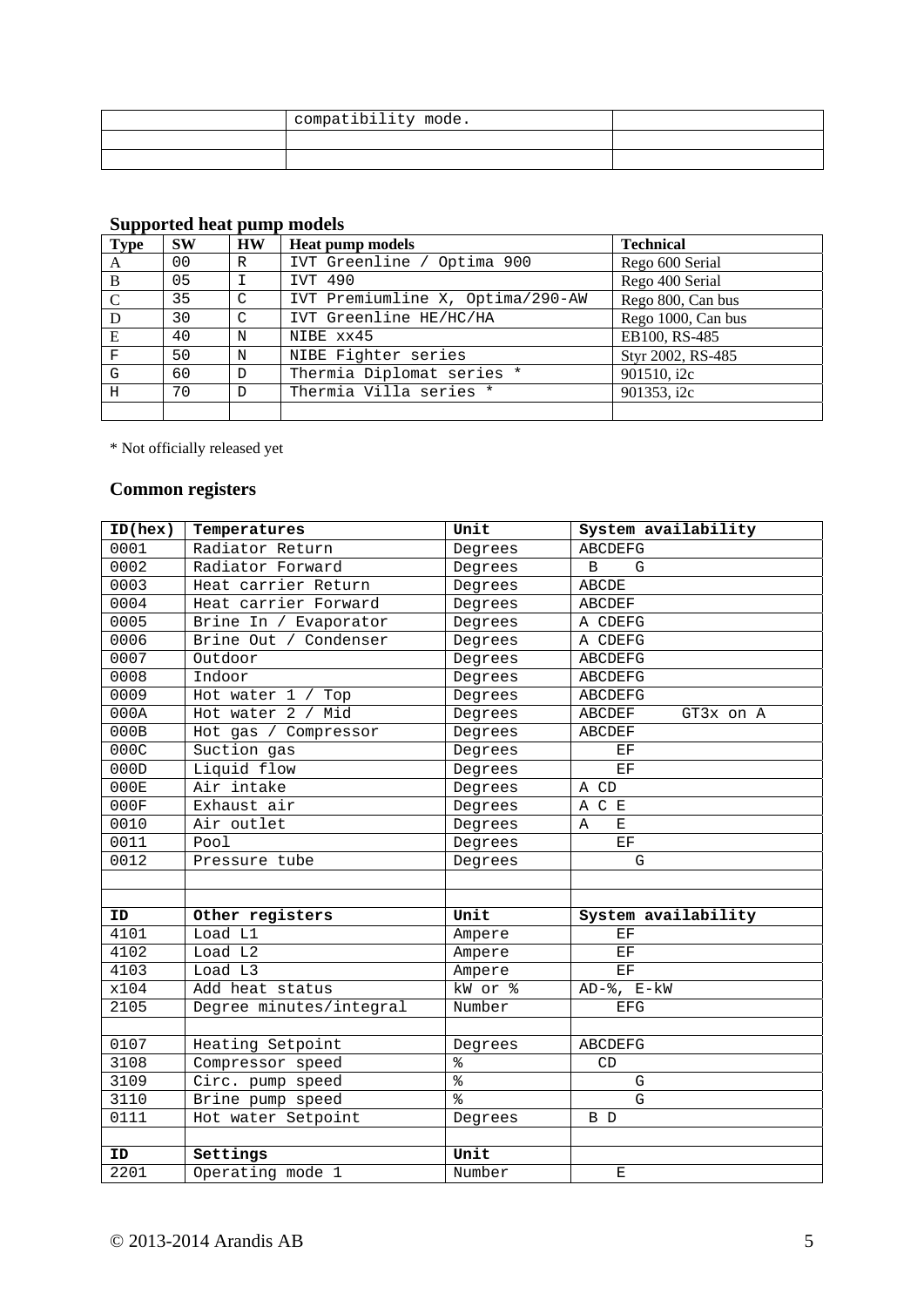| compatibility mode. |  |
|---------------------|--|
|                     |  |
|                     |  |

| <b>Type</b> | <b>SW</b> | <b>HW</b>     | <b>Heat pump models</b>          | <b>Technical</b>   |
|-------------|-----------|---------------|----------------------------------|--------------------|
| A           | 00        | R             | IVT Greenline / Optima 900       | Rego 600 Serial    |
| B           | 05        |               | IVT 490                          | Rego 400 Serial    |
| $\mathbf C$ | 35        | $\mathcal{C}$ | IVT Premiumline X, Optima/290-AW | Rego 800, Can bus  |
| D           | 30        | C             | IVT Greenline HE/HC/HA           | Rego 1000, Can bus |
| E           | 40        | N             | NIBE xx45                        | EB100, RS-485      |
| F           | 50        | N             | NIBE Fighter series              | Styr 2002, RS-485  |
| G           | 60        | D             | Thermia Diplomat series *        | 901510, i2c        |
| H           | 70        | D             | Thermia Villa series *           | 901353, i2c        |
|             |           |               |                                  |                    |

## **Supported heat pump models**

\* Not officially released yet

## **Common registers**

| ID(hex) | Temperatures            | Unit                     | System availability     |
|---------|-------------------------|--------------------------|-------------------------|
| 0001    | Radiator Return         | Degrees                  | <b>ABCDEFG</b>          |
| 0002    | Radiator Forward        | Degrees                  | B<br>G                  |
| 0003    | Heat carrier Return     | Degrees                  | <b>ABCDE</b>            |
| 0004    | Heat carrier Forward    | Degrees                  | ABCDEF                  |
| 0005    | Brine In / Evaporator   | Degrees                  | A CDEFG                 |
| 0006    | Brine Out / Condenser   | Degrees                  | A CDEFG                 |
| 0007    | Outdoor                 | Degrees                  | <b>ABCDEFG</b>          |
| 0008    | Indoor                  | Degrees                  | <b>ABCDEFG</b>          |
| 0009    | Hot water 1 / Top       | Degrees                  | ABCDEFG                 |
| 000A    | Mid<br>Hot water 2 /    | Degrees                  | ABCDEF<br>GT3x on A     |
| 000B    | Hot gas / Compressor    | Degrees                  | <b>ABCDEF</b>           |
| 000C    | Suction gas             | Degrees                  | EF                      |
| 000D    | Liquid flow             | Degrees                  | EF                      |
| 000E    | Air intake              | Degrees                  | A CD                    |
| 000F    | Exhaust air             | Degrees                  | A C E                   |
| 0010    | Air outlet              | Degrees                  | $\mathbf{E}% _{t}$<br>A |
| 0011    | Pool                    | Degrees                  | EF                      |
| 0012    | Pressure tube           | Degrees                  | G                       |
|         |                         |                          |                         |
|         |                         |                          |                         |
| ID      | Other registers         | Unit                     | System availability     |
| 4101    | Load L1                 | Ampere                   | $\operatorname{EF}$     |
| 4102    | Load L2                 | Ampere                   | $\operatorname{EF}$     |
| 4103    | Load L3                 | Ampere                   | EF                      |
| x104    | Add heat status         | kW or %                  | $AD-$ %, $E-kW$         |
| 2105    | Degree minutes/integral | Number                   | EFG                     |
|         |                         |                          |                         |
| 0107    | Heating Setpoint        | Degrees                  | <b>ABCDEFG</b>          |
| 3108    | Compressor speed        | $\,{}^{\circ}\!\!\delta$ | CD                      |
| 3109    | Circ. pump speed        | $^{\circ}$               | G                       |
| 3110    | Brine pump speed        | $\frac{6}{5}$            | G                       |
| 0111    | Hot water Setpoint      | Degrees                  | B D                     |
|         |                         |                          |                         |
| ID      | Settings                | Unit                     |                         |
| 2201    | Operating mode 1        | Number                   | $\mathbf E$             |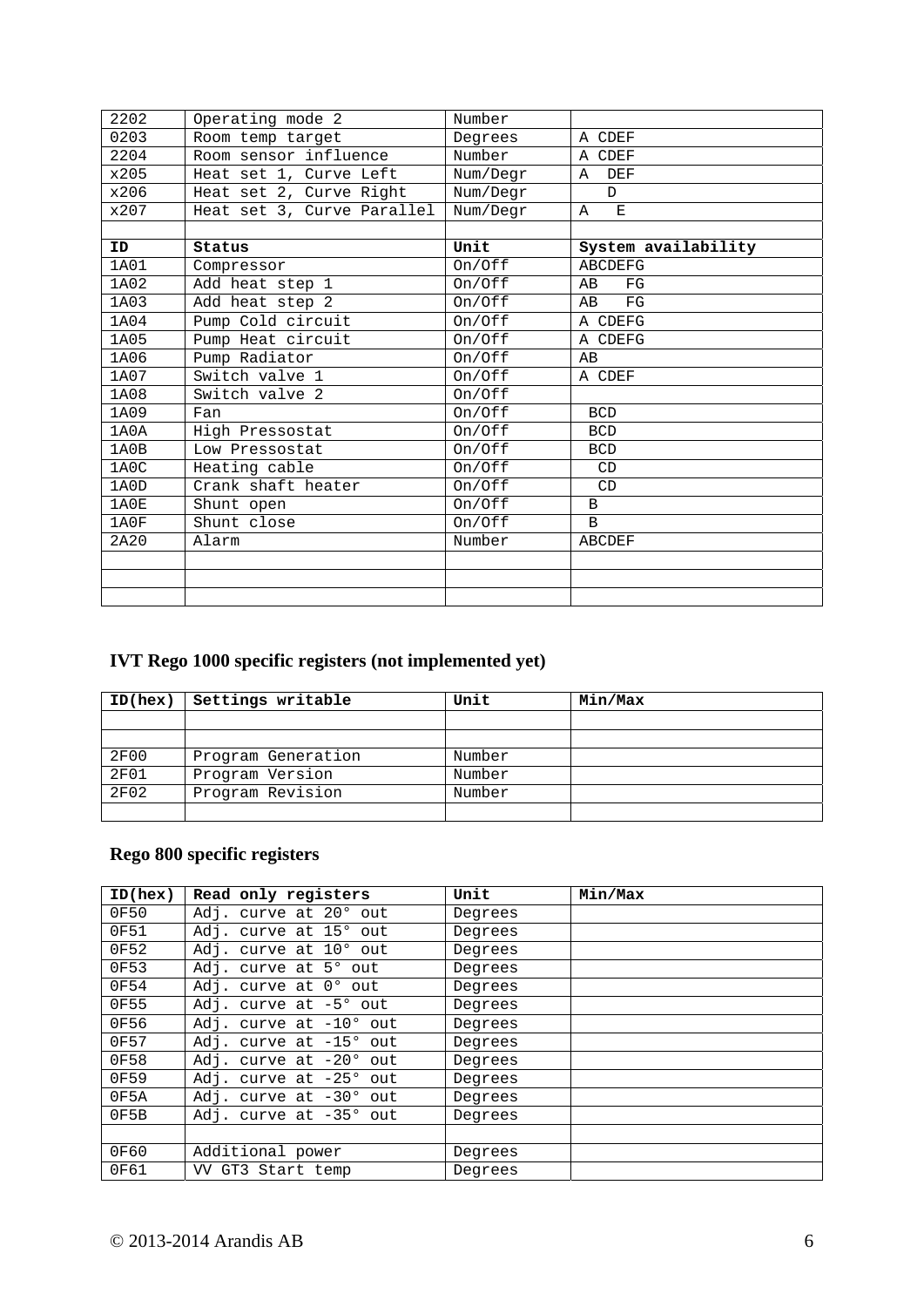| 2202 | Operating mode 2           | Number   |                     |
|------|----------------------------|----------|---------------------|
| 0203 | Room temp target           | Degrees  | A CDEF              |
| 2204 | Room sensor influence      | Number   | A CDEF              |
| x205 | Heat set 1, Curve Left     | Num/Degr | DEF<br>Α            |
| x206 | Heat set 2, Curve Right    | Num/Degr | $\mathbb{D}$        |
| x207 | Heat set 3, Curve Parallel | Num/Degr | A<br>$\mathbf E$    |
|      |                            |          |                     |
| ID   | Status                     | Unit     | System availability |
| 1A01 | Compressor                 | On/Off   | <b>ABCDEFG</b>      |
| 1A02 | Add heat step 1            | On/Off   | AB<br>FG            |
| 1A03 | Add heat step 2            | On/Off   | FG<br>AB            |
| 1A04 | Pump Cold circuit          | On/Off   | A CDEFG             |
| 1A05 | Pump Heat circuit          | On/Off   | A CDEFG             |
| 1A06 | Pump Radiator              | On/Off   | AВ                  |
| 1A07 | Switch valve 1             | On/Off   | A CDEF              |
| 1A08 | Switch valve 2             | On/Off   |                     |
| 1A09 | Fan                        | On/Off   | <b>BCD</b>          |
| 1A0A | High Pressostat            | On/Off   | <b>BCD</b>          |
| 1A0B | Low Pressostat             | On/Off   | <b>BCD</b>          |
| 1A0C | Heating cable              | On/Off   | CD                  |
| 1A0D | Crank shaft heater         | On/Off   | CD                  |
| 1A0E | Shunt open                 | On/Off   | B                   |
| 1A0F | Shunt close                | On/Off   | $\mathbf{B}$        |
| 2A20 | Alarm                      | Number   | <b>ABCDEF</b>       |
|      |                            |          |                     |
|      |                            |          |                     |
|      |                            |          |                     |

# **IVT Rego 1000 specific registers (not implemented yet)**

| ID(hex)     | Settings writable  | Unit   | Min/Max |
|-------------|--------------------|--------|---------|
|             |                    |        |         |
|             |                    |        |         |
| <b>2F00</b> | Program Generation | Number |         |
| <b>2F01</b> | Program Version    | Number |         |
| <b>2F02</b> | Program Revision   | Number |         |
|             |                    |        |         |

## **Rego 800 specific registers**

| ID(hex) | Read only registers                   | Unit    | Min/Max |
|---------|---------------------------------------|---------|---------|
| 0F50    | curve at 20° out<br>Adj.              | Degrees |         |
| 0F51    | curve at 15° out<br>Adj.              | Degrees |         |
| 0F52    | curve at 10° out<br>Adj.              | Degrees |         |
| 0F53    | curve at 5° out<br>Adj.               | Degrees |         |
| 0F54    | curve at $0^{\circ}$ out<br>Adj.      | Degrees |         |
| 0F55    | Adj.<br>curve at $-5^{\circ}$ out     | Degrees |         |
| 0F56    | curve at $-10^{\circ}$ out<br>Adj.    | Degrees |         |
| 0F57    | curve at $-15^{\circ}$<br>Adj.<br>out | Degrees |         |
| 0F58    | curve at $-20^{\circ}$<br>Adj.<br>out | Degrees |         |
| 0F59    | curve at $-25^{\circ}$<br>Adj.<br>out | Degrees |         |
| 0F5A    | curve at $-30^{\circ}$ out<br>Adj.    | Degrees |         |
| 0F5B    | Adj. curve at -35° out                | Degrees |         |
|         |                                       |         |         |
| 0F60    | Additional power                      | Degrees |         |
| 0F61    | GT3 Start temp<br>VV                  | Degrees |         |